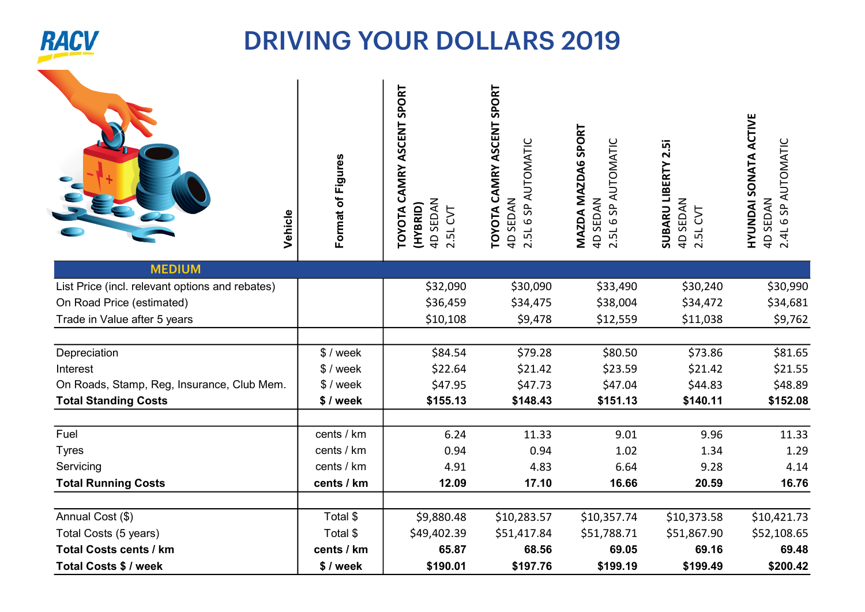

## DRIVING YOUR DOLLARS 2019 2019

| Vehicle                                         | Format of Figures | CAMRY ASCENT SPORT<br>4D SEDAN<br>2.5L CVT<br>(HYBRID)<br>TOYOTA | TOYOTA CAMRY ASCENT SPORT<br>2.5L 6 SP AUTOMATIC<br>4D SEDAN | MAZDA MAZDA6 SPORT<br>2.5L 6 SP AUTOMATIC<br>4D SEDAN | SUBARU LIBERTY 2.5i<br>4D SEDAN<br>2.5L CVT | <b>HYUNDAI SONATA ACTIVE</b><br>4D SEDAN<br>2.4L 6 SP AUTOMATIC |
|-------------------------------------------------|-------------------|------------------------------------------------------------------|--------------------------------------------------------------|-------------------------------------------------------|---------------------------------------------|-----------------------------------------------------------------|
| <b>MEDIUM</b>                                   |                   |                                                                  |                                                              |                                                       |                                             |                                                                 |
| List Price (incl. relevant options and rebates) |                   | \$32,090                                                         | \$30,090                                                     | \$33,490                                              | \$30,240                                    | \$30,990                                                        |
| On Road Price (estimated)                       |                   | \$36,459                                                         | \$34,475                                                     | \$38,004                                              | \$34,472                                    | \$34,681                                                        |
| Trade in Value after 5 years                    |                   | \$10,108                                                         | \$9,478                                                      | \$12,559                                              | \$11,038                                    | \$9,762                                                         |
| Depreciation                                    | \$/week           | \$84.54                                                          | \$79.28                                                      | \$80.50                                               | \$73.86                                     | \$81.65                                                         |
| Interest                                        | $$/$ week         | \$22.64                                                          | \$21.42                                                      | \$23.59                                               | \$21.42                                     | \$21.55                                                         |
| On Roads, Stamp, Reg, Insurance, Club Mem.      | $$$ / week        | \$47.95                                                          | \$47.73                                                      | \$47.04                                               | \$44.83                                     | \$48.89                                                         |
| <b>Total Standing Costs</b>                     | \$/week           | \$155.13                                                         | \$148.43                                                     | \$151.13                                              | \$140.11                                    | \$152.08                                                        |
| Fuel                                            | cents / km        | 6.24                                                             | 11.33                                                        | 9.01                                                  | 9.96                                        | 11.33                                                           |
| <b>Tyres</b>                                    | cents / km        | 0.94                                                             | 0.94                                                         | 1.02                                                  | 1.34                                        | 1.29                                                            |
| Servicing                                       | cents / km        | 4.91                                                             | 4.83                                                         | 6.64                                                  | 9.28                                        | 4.14                                                            |
| <b>Total Running Costs</b>                      | cents / km        | 12.09                                                            | 17.10                                                        | 16.66                                                 | 20.59                                       | 16.76                                                           |
| Annual Cost (\$)                                | Total \$          | \$9,880.48                                                       | \$10,283.57                                                  | \$10,357.74                                           | \$10,373.58                                 | \$10,421.73                                                     |
| Total Costs (5 years)                           | Total \$          | \$49,402.39                                                      | \$51,417.84                                                  | \$51,788.71                                           | \$51,867.90                                 | \$52,108.65                                                     |
| <b>Total Costs cents / km</b>                   | cents / km        | 65.87                                                            | 68.56                                                        | 69.05                                                 | 69.16                                       | 69.48                                                           |
| Total Costs \$ / week                           | \$/week           | \$190.01                                                         | \$197.76                                                     | \$199.19                                              | \$199.49                                    | \$200.42                                                        |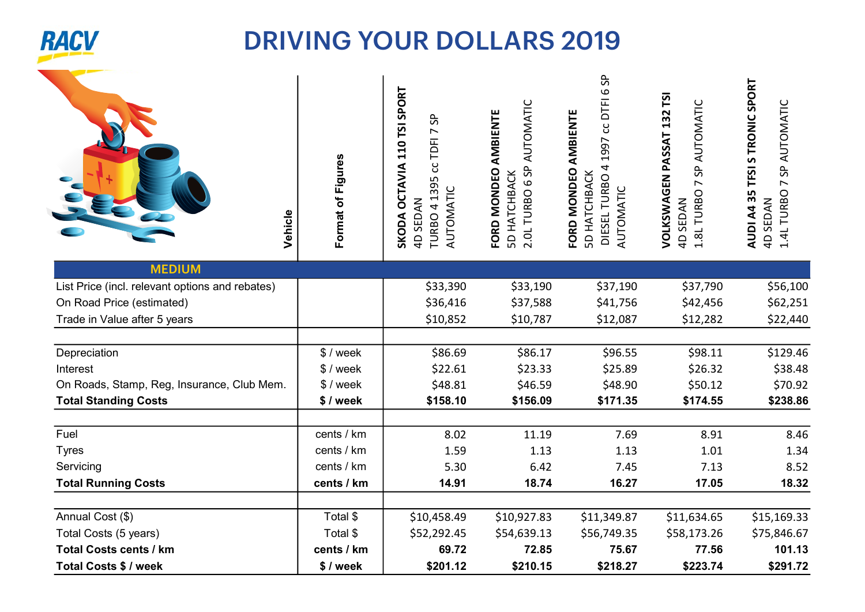

## DRIVING YOUR DOLLARS 2019 2019

| Vehicle                                         | Format of Figures | SKODA OCTAVIA 110 TSI SPORT<br>S <sub>P</sub><br>5 cc TDFI 7<br><b>TURBO 4139</b><br>AUTOMATIC<br><b>4D SEDAN</b> | 2.0L TURBO 6 SP AUTOMATIC<br>FORD MONDEO AMBIENTE<br><b>5D HATCHBACK</b> | DTFI6SP<br>FORD MONDEO AMBIENTE<br>ပ<br>1997<br>DIESEL TURBO 4<br><b>5D HATCHBACK</b><br>AUTOMATIC | VOLKSWAGEN PASSAT 132 TSI<br>SP AUTOMATIC<br>1.8L TURBO 7<br>4D SEDAN | AUDI A4 35 TFSI S TRONIC SPORT<br>1.4L TURBO 7 SP AUTOMATIC<br>4D SEDAN |
|-------------------------------------------------|-------------------|-------------------------------------------------------------------------------------------------------------------|--------------------------------------------------------------------------|----------------------------------------------------------------------------------------------------|-----------------------------------------------------------------------|-------------------------------------------------------------------------|
| <b>MEDIUM</b>                                   |                   |                                                                                                                   |                                                                          |                                                                                                    |                                                                       |                                                                         |
| List Price (incl. relevant options and rebates) |                   | \$33,390                                                                                                          | \$33,190                                                                 | \$37,190                                                                                           | \$37,790                                                              | \$56,100                                                                |
| On Road Price (estimated)                       |                   | \$36,416                                                                                                          | \$37,588                                                                 | \$41,756                                                                                           | \$42,456                                                              | \$62,251                                                                |
| Trade in Value after 5 years                    |                   | \$10,852                                                                                                          | \$10,787                                                                 | \$12,087                                                                                           | \$12,282                                                              | \$22,440                                                                |
| Depreciation                                    | \$ / week         | \$86.69                                                                                                           | \$86.17                                                                  | \$96.55                                                                                            | \$98.11                                                               | \$129.46                                                                |
| Interest                                        | $$$ / week        | \$22.61                                                                                                           | \$23.33                                                                  | \$25.89                                                                                            | \$26.32                                                               | \$38.48                                                                 |
| On Roads, Stamp, Reg, Insurance, Club Mem.      | $$$ / week        | \$48.81                                                                                                           | \$46.59                                                                  | \$48.90                                                                                            | \$50.12                                                               | \$70.92                                                                 |
| <b>Total Standing Costs</b>                     | \$/week           | \$158.10                                                                                                          | \$156.09                                                                 | \$171.35                                                                                           | \$174.55                                                              | \$238.86                                                                |
| Fuel                                            | cents / km        | 8.02                                                                                                              | 11.19                                                                    | 7.69                                                                                               | 8.91                                                                  | 8.46                                                                    |
| <b>Tyres</b>                                    | cents / km        | 1.59                                                                                                              | 1.13                                                                     | 1.13                                                                                               | 1.01                                                                  | 1.34                                                                    |
| Servicing                                       | cents / km        | 5.30                                                                                                              | 6.42                                                                     | 7.45                                                                                               | 7.13                                                                  | 8.52                                                                    |
| <b>Total Running Costs</b>                      | cents / km        | 14.91                                                                                                             | 18.74                                                                    | 16.27                                                                                              | 17.05                                                                 | 18.32                                                                   |
| Annual Cost (\$)                                | Total \$          | \$10,458.49                                                                                                       | \$10,927.83                                                              | \$11,349.87                                                                                        | \$11,634.65                                                           | \$15,169.33                                                             |
| Total Costs (5 years)                           | Total \$          | \$52,292.45                                                                                                       | \$54,639.13                                                              | \$56,749.35                                                                                        | \$58,173.26                                                           | \$75,846.67                                                             |
| <b>Total Costs cents / km</b>                   | cents / km        | 69.72                                                                                                             | 72.85                                                                    | 75.67                                                                                              | 77.56                                                                 | 101.13                                                                  |
| Total Costs \$ / week                           | \$/week           | \$201.12                                                                                                          | \$210.15                                                                 | \$218.27                                                                                           | \$223.74                                                              | \$291.72                                                                |